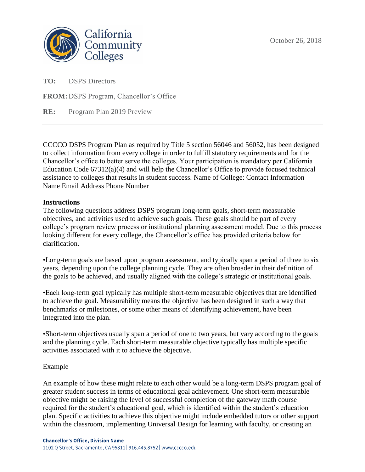

**TO:** DSPS Directors

**FROM:** DSPS Program, Chancellor's Office

**RE:** Program Plan 2019 Preview

CCCCO DSPS Program Plan as required by Title 5 section 56046 and 56052, has been designed to collect information from every college in order to fulfill statutory requirements and for the Chancellor's office to better serve the colleges. Your participation is mandatory per California Education Code 67312(a)(4) and will help the Chancellor's Office to provide focused technical assistance to colleges that results in student success. Name of College: Contact Information Name Email Address Phone Number

# **Instructions**

The following questions address DSPS program long-term goals, short-term measurable objectives, and activities used to achieve such goals. These goals should be part of every college's program review process or institutional planning assessment model. Due to this process looking different for every college, the Chancellor's office has provided criteria below for clarification.

•Long-term goals are based upon program assessment, and typically span a period of three to six years, depending upon the college planning cycle. They are often broader in their definition of the goals to be achieved, and usually aligned with the college's strategic or institutional goals.

•Each long-term goal typically has multiple short-term measurable objectives that are identified to achieve the goal. Measurability means the objective has been designed in such a way that benchmarks or milestones, or some other means of identifying achievement, have been integrated into the plan.

•Short-term objectives usually span a period of one to two years, but vary according to the goals and the planning cycle. Each short-term measurable objective typically has multiple specific activities associated with it to achieve the objective.

# Example

An example of how these might relate to each other would be a long-term DSPS program goal of greater student success in terms of educational goal achievement. One short-term measurable objective might be raising the level of successful completion of the gateway math course required for the student's educational goal, which is identified within the student's education plan. Specific activities to achieve this objective might include embedded tutors or other support within the classroom, implementing Universal Design for learning with faculty, or creating an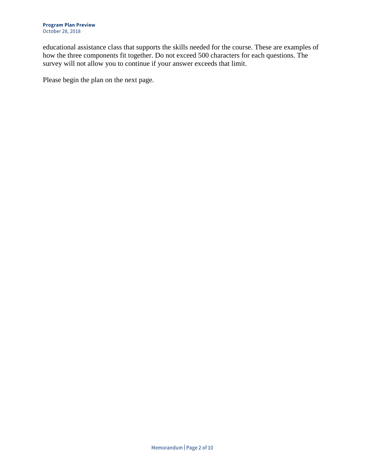educational assistance class that supports the skills needed for the course. These are examples of how the three components fit together. Do not exceed 500 characters for each questions. The survey will not allow you to continue if your answer exceeds that limit.

Please begin the plan on the next page.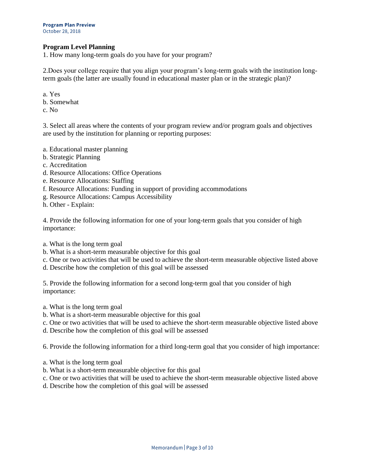## **Program Level Planning**

1. How many long-term goals do you have for your program?

2.Does your college require that you align your program's long-term goals with the institution longterm goals (the latter are usually found in educational master plan or in the strategic plan)?

- a. Yes
- b. Somewhat
- c. No

3. Select all areas where the contents of your program review and/or program goals and objectives are used by the institution for planning or reporting purposes:

- a. Educational master planning
- b. Strategic Planning
- c. Accreditation
- d. Resource Allocations: Office Operations
- e. Resource Allocations: Staffing
- f. Resource Allocations: Funding in support of providing accommodations
- g. Resource Allocations: Campus Accessibility
- h. Other Explain:

4. Provide the following information for one of your long-term goals that you consider of high importance:

- a. What is the long term goal
- b. What is a short-term measurable objective for this goal
- c. One or two activities that will be used to achieve the short-term measurable objective listed above
- d. Describe how the completion of this goal will be assessed

5. Provide the following information for a second long-term goal that you consider of high importance:

- a. What is the long term goal
- b. What is a short-term measurable objective for this goal
- c. One or two activities that will be used to achieve the short-term measurable objective listed above
- d. Describe how the completion of this goal will be assessed

6. Provide the following information for a third long-term goal that you consider of high importance:

- a. What is the long term goal
- b. What is a short-term measurable objective for this goal
- c. One or two activities that will be used to achieve the short-term measurable objective listed above
- d. Describe how the completion of this goal will be assessed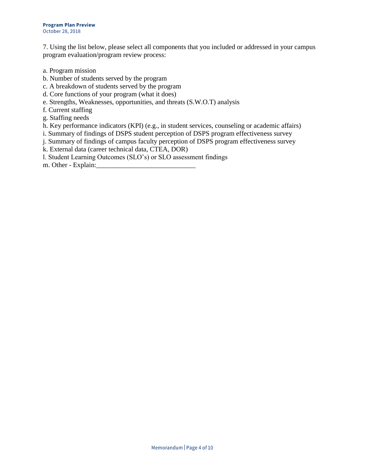7. Using the list below, please select all components that you included or addressed in your campus program evaluation/program review process:

- a. Program mission
- b. Number of students served by the program
- c. A breakdown of students served by the program
- d. Core functions of your program (what it does)
- e. Strengths, Weaknesses, opportunities, and threats (S.W.O.T) analysis
- f. Current staffing
- g. Staffing needs
- h. Key performance indicators (KPI) (e.g., in student services, counseling or academic affairs)
- i. Summary of findings of DSPS student perception of DSPS program effectiveness survey
- j. Summary of findings of campus faculty perception of DSPS program effectiveness survey
- k. External data (career technical data, CTEA, DOR)

l. Student Learning Outcomes (SLO's) or SLO assessment findings

m. Other - Explain: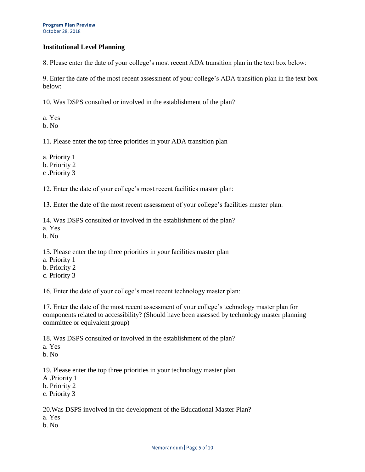#### **Program Plan Preview** October 28, 2018

# **Institutional Level Planning**

8. Please enter the date of your college's most recent ADA transition plan in the text box below:

9. Enter the date of the most recent assessment of your college's ADA transition plan in the text box below:

10. Was DSPS consulted or involved in the establishment of the plan?

a. Yes

b. No

11. Please enter the top three priorities in your ADA transition plan

a. Priority 1

b. Priority 2

c .Priority 3

12. Enter the date of your college's most recent facilities master plan:

13. Enter the date of the most recent assessment of your college's facilities master plan.

14. Was DSPS consulted or involved in the establishment of the plan?

- a. Yes
- b. No

15. Please enter the top three priorities in your facilities master plan

- a. Priority 1
- b. Priority 2
- c. Priority 3

16. Enter the date of your college's most recent technology master plan:

17. Enter the date of the most recent assessment of your college's technology master plan for components related to accessibility? (Should have been assessed by technology master planning committee or equivalent group)

18. Was DSPS consulted or involved in the establishment of the plan?

a. Yes

b. No

19. Please enter the top three priorities in your technology master plan

- A .Priority 1
- b. Priority 2
- c. Priority 3

20.Was DSPS involved in the development of the Educational Master Plan?

- a. Yes
- b. No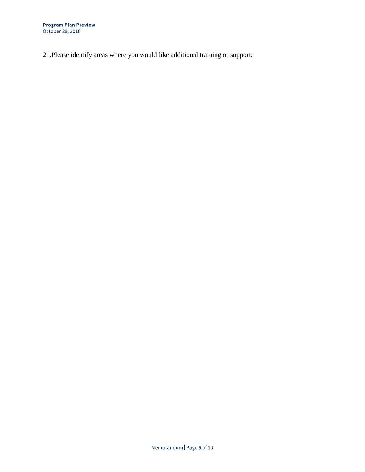21.Please identify areas where you would like additional training or support: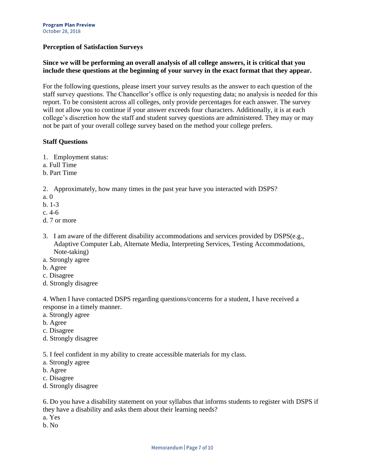## **Perception of Satisfaction Surveys**

# **Since we will be performing an overall analysis of all college answers, it is critical that you include these questions at the beginning of your survey in the exact format that they appear.**

For the following questions, please insert your survey results as the answer to each question of the staff survey questions. The Chancellor's office is only requesting data; no analysis is needed for this report. To be consistent across all colleges, only provide percentages for each answer. The survey will not allow you to continue if your answer exceeds four characters. Additionally, it is at each college's discretion how the staff and student survey questions are administered. They may or may not be part of your overall college survey based on the method your college prefers.

#### **Staff Questions**

- 1. Employment status:
- a. Full Time
- b. Part Time

2. Approximately, how many times in the past year have you interacted with DSPS?

- a. 0
- b. 1-3
- c. 4-6
- d. 7 or more
- 3. I am aware of the different disability accommodations and services provided by DSPS(e.g., Adaptive Computer Lab, Alternate Media, Interpreting Services, Testing Accommodations, Note-taking)
- a. Strongly agree
- b. Agree
- c. Disagree
- d. Strongly disagree

4. When I have contacted DSPS regarding questions/concerns for a student, I have received a response in a timely manner.

- a. Strongly agree
- b. Agree
- c. Disagree
- d. Strongly disagree

5. I feel confident in my ability to create accessible materials for my class.

- a. Strongly agree
- b. Agree
- c. Disagree
- d. Strongly disagree

6. Do you have a disability statement on your syllabus that informs students to register with DSPS if they have a disability and asks them about their learning needs?

- a. Yes
- b. No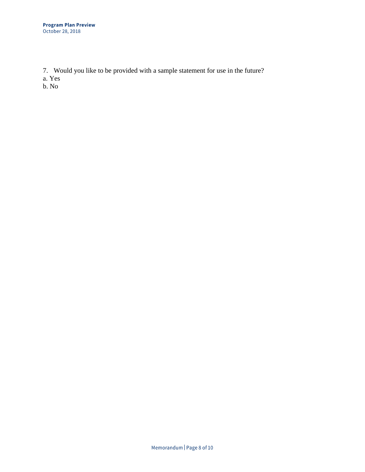7. Would you like to be provided with a sample statement for use in the future?

a. Yes

b. No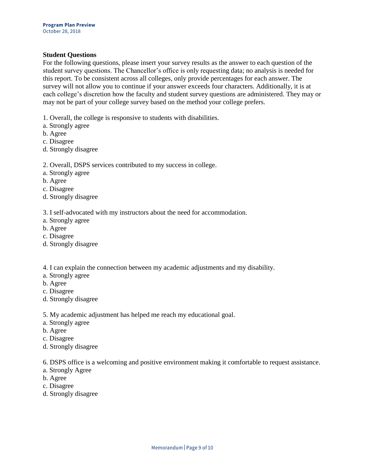#### **Student Questions**

For the following questions, please insert your survey results as the answer to each question of the student survey questions. The Chancellor's office is only requesting data; no analysis is needed for this report. To be consistent across all colleges, only provide percentages for each answer. The survey will not allow you to continue if your answer exceeds four characters. Additionally, it is at each college's discretion how the faculty and student survey questions are administered. They may or may not be part of your college survey based on the method your college prefers.

1. Overall, the college is responsive to students with disabilities.

- a. Strongly agree
- b. Agree
- c. Disagree
- d. Strongly disagree

### 2. Overall, DSPS services contributed to my success in college.

- a. Strongly agree
- b. Agree
- c. Disagree
- d. Strongly disagree

3. I self-advocated with my instructors about the need for accommodation.

- a. Strongly agree
- b. Agree
- c. Disagree
- d. Strongly disagree

4. I can explain the connection between my academic adjustments and my disability.

- a. Strongly agree
- b. Agree
- c. Disagree
- d. Strongly disagree
- 5. My academic adjustment has helped me reach my educational goal.
- a. Strongly agree
- b. Agree
- c. Disagree
- d. Strongly disagree

6. DSPS office is a welcoming and positive environment making it comfortable to request assistance.

- a. Strongly Agree
- b. Agree
- c. Disagree
- d. Strongly disagree